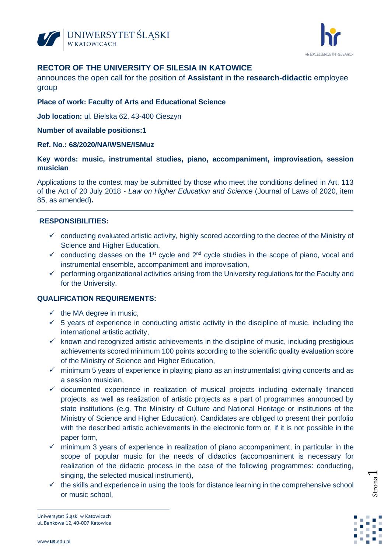



# **RECTOR OF THE UNIVERSITY OF SILESIA IN KATOWICE**

announces the open call for the position of **Assistant** in the **research-didactic** employee group

## **Place of work: Faculty of Arts and Educational Science**

**Job location:** ul. Bielska 62, 43-400 Cieszyn

#### **Number of available positions:1**

#### **Ref. No.: 68/2020/NA/WSNE/ISMuz**

## **Key words: music, instrumental studies, piano, accompaniment, improvisation, session musician**

Applications to the contest may be submitted by those who meet the conditions defined in Art. 113 of the Act of 20 July 2018 - *Law on Higher Education and Science* (Journal of Laws of 2020, item 85, as amended)**.**

## **RESPONSIBILITIES:**

- $\checkmark$  conducting evaluated artistic activity, highly scored according to the decree of the Ministry of Science and Higher Education,
- $\checkmark$  conducting classes on the 1<sup>st</sup> cycle and 2<sup>nd</sup> cycle studies in the scope of piano, vocal and instrumental ensemble, accompaniment and improvisation,
- $\checkmark$  performing organizational activities arising from the University regulations for the Faculty and for the University.

## **QUALIFICATION REQUIREMENTS:**

- $\checkmark$  the MA degree in music.
- $\checkmark$  5 years of experience in conducting artistic activity in the discipline of music, including the international artistic activity,
- $\checkmark$  known and recognized artistic achievements in the discipline of music, including prestigious achievements scored minimum 100 points according to the scientific quality evaluation score of the Ministry of Science and Higher Education,
- $\checkmark$  minimum 5 years of experience in playing piano as an instrumentalist giving concerts and as a session musician,
- $\checkmark$  documented experience in realization of musical projects including externally financed projects, as well as realization of artistic projects as a part of programmes announced by state institutions (e.g. The Ministry of Culture and National Heritage or institutions of the Ministry of Science and Higher Education). Candidates are obliged to present their portfolio with the described artistic achievements in the electronic form or, if it is not possible in the paper form,
- $\checkmark$  minimum 3 years of experience in realization of piano accompaniment, in particular in the scope of popular music for the needs of didactics (accompaniment is necessary for realization of the didactic process in the case of the following programmes: conducting, singing, the selected musical instrument),
- $\checkmark$  the skills and experience in using the tools for distance learning in the comprehensive school or music school,



Strona

 $\overline{\phantom{0}}$ 

Uniwersytet Śląski w Katowicach ul. Bankowa 12, 40-007 Katowice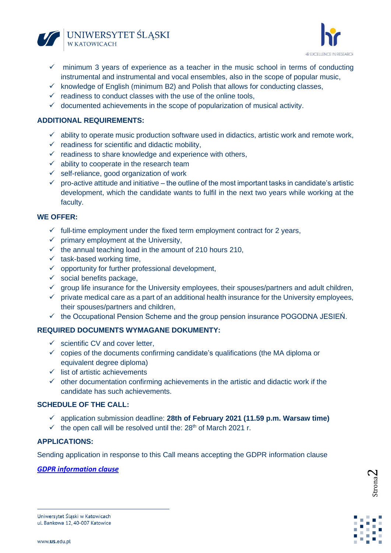



- ✓ minimum 3 years of experience as a teacher in the music school in terms of conducting instrumental and instrumental and vocal ensembles, also in the scope of popular music,
- $\checkmark$  knowledge of English (minimum B2) and Polish that allows for conducting classes,
- $\checkmark$  readiness to conduct classes with the use of the online tools,
- $\checkmark$  documented achievements in the scope of popularization of musical activity.

## **ADDITIONAL REQUIREMENTS:**

- $\checkmark$  ability to operate music production software used in didactics, artistic work and remote work,
- $\checkmark$  readiness for scientific and didactic mobility.
- $\checkmark$  readiness to share knowledge and experience with others,
- $\checkmark$  ability to cooperate in the research team
- $\checkmark$  self-reliance, good organization of work
- $\checkmark$  pro-active attitude and initiative the outline of the most important tasks in candidate's artistic development, which the candidate wants to fulfil in the next two years while working at the faculty.

#### **WE OFFER:**

- $\checkmark$  full-time employment under the fixed term employment contract for 2 years,
- $\checkmark$  primary employment at the University,
- $\checkmark$  the annual teaching load in the amount of 210 hours 210,
- $\times$  task-based working time,
- $\checkmark$  opportunity for further professional development,
- $\checkmark$  social benefits package.
- $\checkmark$  group life insurance for the University employees, their spouses/partners and adult children,
- $\checkmark$  private medical care as a part of an additional health insurance for the University employees, their spouses/partners and children,
- $\checkmark$  the Occupational Pension Scheme and the group pension insurance POGODNA JESIEN.

## **REQUIRED DOCUMENTS WYMAGANE DOKUMENTY:**

- $\checkmark$  scientific CV and cover letter.
- $\checkmark$  copies of the documents confirming candidate's qualifications (the MA diploma or equivalent degree diploma)
- $\checkmark$  list of artistic achievements
- $\checkmark$  other documentation confirming achievements in the artistic and didactic work if the candidate has such achievements.

# **SCHEDULE OF THE CALL:**

- ✓ application submission deadline: **28th of February 2021 (11.59 p.m. Warsaw time)**
- $\checkmark$  the open call will be resolved until the: 28<sup>th</sup> of March 2021 r.

#### **APPLICATIONS:**

Sending application in response to this Call means accepting the GDPR information clause

## *GDPR information clause*



Uniwersytet Śląski w Katowicach ul. Bankowa 12, 40-007 Katowice